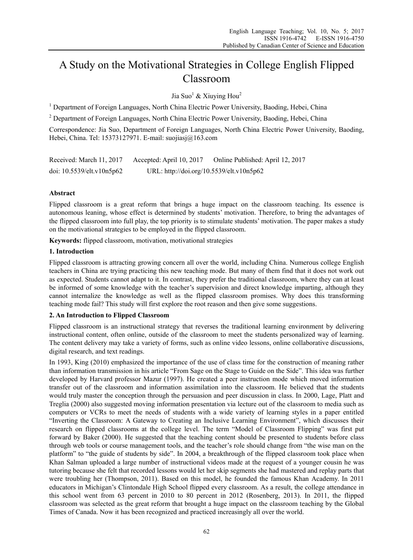# A Study on the Motivational Strategies in College English Flipped Classroom

Jia Suo<sup>1</sup> & Xiuying Hou<sup>2</sup>

<sup>1</sup> Department of Foreign Languages, North China Electric Power University, Baoding, Hebei, China

<sup>2</sup> Department of Foreign Languages, North China Electric Power University, Baoding, Hebei, China

Correspondence: Jia Suo, Department of Foreign Languages, North China Electric Power University, Baoding, Hebei, China. Tel: 15373127971. E-mail: suojiasj@163.com

| Received: March 11, 2017        | Accepted: April 10, 2017                 | Online Published: April 12, 2017 |
|---------------------------------|------------------------------------------|----------------------------------|
| doi: $10.5539$ /elt.v $10n5p62$ | URL: http://doi.org/10.5539/elt.v10n5p62 |                                  |

# **Abstract**

Flipped classroom is a great reform that brings a huge impact on the classroom teaching. Its essence is autonomous leaning, whose effect is determined by students' motivation. Therefore, to bring the advantages of the flipped classroom into full play, the top priority is to stimulate students' motivation. The paper makes a study on the motivational strategies to be employed in the flipped classroom.

**Keywords:** flipped classroom, motivation, motivational strategies

# **1. Introduction**

Flipped classroom is attracting growing concern all over the world, including China. Numerous college English teachers in China are trying practicing this new teaching mode. But many of them find that it does not work out as expected. Students cannot adapt to it. In contrast, they prefer the traditional classroom, where they can at least be informed of some knowledge with the teacher's supervision and direct knowledge imparting, although they cannot internalize the knowledge as well as the flipped classroom promises. Why does this transforming teaching mode fail? This study will first explore the root reason and then give some suggestions.

# **2. An Introduction to Flipped Classroom**

Flipped classroom is an instructional strategy that reverses the traditional learning environment by delivering instructional content, often online, outside of the classroom to meet the students personalized way of learning. The content delivery may take a variety of forms, such as online video lessons, online collaborative discussions, digital research, and text readings.

In 1993, King (2010) emphasized the importance of the use of class time for the construction of meaning rather than information transmission in his article "From Sage on the Stage to Guide on the Side". This idea was further developed by Harvard professor Mazur (1997). He created a peer instruction mode which moved information transfer out of the classroom and information assimilation into the classroom. He believed that the students would truly master the conception through the persuasion and peer discussion in class. In 2000, Lage, Platt and Treglia (2000) also suggested moving information presentation via lecture out of the classroom to media such as computers or VCRs to meet the needs of students with a wide variety of learning styles in a paper entitled "Inverting the Classroom: A Gateway to Creating an Inclusive Learning Environment", which discusses their research on flipped classrooms at the college level. The term "Model of Classroom Flipping" was first put forward by Baker (2000). He suggested that the teaching content should be presented to students before class through web tools or course management tools, and the teacher's role should change from "the wise man on the platform" to "the guide of students by side". In 2004, a breakthrough of the flipped classroom took place when Khan Salman uploaded a large number of instructional videos made at the request of a younger cousin he was tutoring because she felt that recorded lessons would let her skip segments she had mastered and replay parts that were troubling her (Thompson, 2011). Based on this model, he founded the famous Khan Academy. In 2011 educators in Michigan's Clintondale High School flipped every classroom. As a result, the college attendance in this school went from 63 percent in 2010 to 80 percent in 2012 (Rosenberg, 2013). In 2011, the flipped classroom was selected as the great reform that brought a huge impact on the classroom teaching by the Global Times of Canada. Now it has been recognized and practiced increasingly all over the world.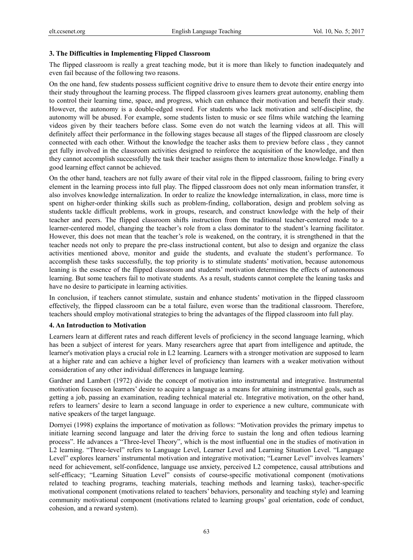## **3. The Difficulties in Implementing Flipped Classroom**

The flipped classroom is really a great teaching mode, but it is more than likely to function inadequately and even fail because of the following two reasons.

On the one hand, few students possess sufficient cognitive drive to ensure them to devote their entire energy into their study throughout the learning process. The flipped classroom gives learners great autonomy, enabling them to control their learning time, space, and progress, which can enhance their motivation and benefit their study. However, the autonomy is a double-edged sword. For students who lack motivation and self-discipline, the autonomy will be abused. For example, some students listen to music or see films while watching the learning videos given by their teachers before class. Some even do not watch the learning videos at all. This will definitely affect their performance in the following stages because all stages of the flipped classroom are closely connected with each other. Without the knowledge the teacher asks them to preview before class , they cannot get fully involved in the classroom activities designed to reinforce the acquisition of the knowledge, and then they cannot accomplish successfully the task their teacher assigns them to internalize those knowledge. Finally a good learning effect cannot be achieved.

On the other hand, teachers are not fully aware of their vital role in the flipped classroom, failing to bring every element in the learning process into full play. The flipped classroom does not only mean information transfer, it also involves knowledge internalization. In order to realize the knowledge internalization, in class, more time is spent on higher-order thinking skills such as problem-finding, collaboration, design and problem solving as students tackle difficult problems, work in groups, research, and construct knowledge with the help of their teacher and peers. The flipped classroom shifts instruction from the traditional teacher-centered mode to a learner-centered model, changing the teacher's role from a class dominator to the student's learning facilitator. However, this does not mean that the teacher's role is weakened, on the contrary, it is strengthened in that the teacher needs not only to prepare the pre-class instructional content, but also to design and organize the class activities mentioned above, monitor and guide the students, and evaluate the student's performance. To accomplish these tasks successfully, the top priority is to stimulate students' motivation, because autonomous leaning is the essence of the flipped classroom and students' motivation determines the effects of autonomous learning. But some teachers fail to motivate students. As a result, students cannot complete the leaning tasks and have no desire to participate in learning activities.

In conclusion, if teachers cannot stimulate, sustain and enhance students' motivation in the flipped classroom effectively, the flipped classroom can be a total failure, even worse than the traditional classroom. Therefore, teachers should employ motivational strategies to bring the advantages of the flipped classroom into full play.

# **4. An Introduction to Motivation**

Learners learn at different rates and reach different levels of proficiency in the second language learning, which has been a subject of interest for years. Many researchers agree that apart from intelligence and aptitude, the learner's motivation plays a crucial role in L2 learning. Learners with a stronger motivation are supposed to learn at a higher rate and can achieve a higher level of proficiency than learners with a weaker motivation without consideration of any other individual differences in language learning.

Gardner and Lambert (1972) divide the concept of motivation into instrumental and integrative. Instrumental motivation focuses on learners' desire to acquire a language as a means for attaining instrumental goals, such as getting a job, passing an examination, reading technical material etc. Integrative motivation, on the other hand, refers to learners' desire to learn a second language in order to experience a new culture, communicate with native speakers of the target language.

Dornyei (1998) explains the importance of motivation as follows: "Motivation provides the primary impetus to initiate learning second language and later the driving force to sustain the long and often tedious learning process". He advances a "Three-level Theory", which is the most influential one in the studies of motivation in L2 learning. "Three-level" refers to Language Level, Learner Level and Learning Situation Level. "Language Level" explores learners' instrumental motivation and integrative motivation; "Learner Level" involves learners' need for achievement, self-confidence, language use anxiety, perceived L2 competence, causal attributions and self-efficacy; "Learning Situation Level" consists of course-specific motivational component (motivations related to teaching programs, teaching materials, teaching methods and learning tasks), teacher-specific motivational component (motivations related to teachers' behaviors, personality and teaching style) and learning community motivational component (motivations related to learning groups' goal orientation, code of conduct, cohesion, and a reward system).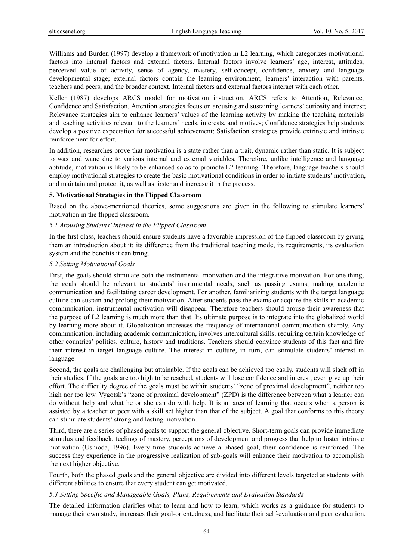Williams and Burden (1997) develop a framework of motivation in L2 learning, which categorizes motivational factors into internal factors and external factors. Internal factors involve learners' age, interest, attitudes, perceived value of activity, sense of agency, mastery, self-concept, confidence, anxiety and language developmental stage; external factors contain the learning environment, learners' interaction with parents, teachers and peers, and the broader context. Internal factors and external factors interact with each other.

Keller (1987) develops ARCS model for motivation instruction. ARCS refers to Attention, Relevance, Confidence and Satisfaction. Attention strategies focus on arousing and sustaining learners' curiosity and interest; Relevance strategies aim to enhance learners' values of the learning activity by making the teaching materials and teaching activities relevant to the learners' needs, interests, and motives; Confidence strategies help students develop a positive expectation for successful achievement; Satisfaction strategies provide extrinsic and intrinsic reinforcement for effort.

In addition, researches prove that motivation is a state rather than a trait, dynamic rather than static. It is subject to wax and wane due to various internal and external variables. Therefore, unlike intelligence and language aptitude, motivation is likely to be enhanced so as to promote L2 learning. Therefore, language teachers should employ motivational strategies to create the basic motivational conditions in order to initiate students' motivation, and maintain and protect it, as well as foster and increase it in the process.

#### **5. Motivational Strategies in the Flipped Classroom**

Based on the above-mentioned theories, some suggestions are given in the following to stimulate learners' motivation in the flipped classroom.

#### *5.1 Arousing Students' Interest in the Flipped Classroom*

In the first class, teachers should ensure students have a favorable impression of the flipped classroom by giving them an introduction about it: its difference from the traditional teaching mode, its requirements, its evaluation system and the benefits it can bring.

#### *5.2 Setting Motivational Goals*

First, the goals should stimulate both the instrumental motivation and the integrative motivation. For one thing, the goals should be relevant to students' instrumental needs, such as passing exams, making academic communication and facilitating career development. For another, familiarizing students with the target language culture can sustain and prolong their motivation. After students pass the exams or acquire the skills in academic communication, instrumental motivation will disappear. Therefore teachers should arouse their awareness that the purpose of L2 learning is much more than that. Its ultimate purpose is to integrate into the globalized world by learning more about it. Globalization increases the frequency of international communication sharply. Any communication, including academic communication, involves intercultural skills, requiring certain knowledge of other countries' politics, culture, history and traditions. Teachers should convince students of this fact and fire their interest in target language culture. The interest in culture, in turn, can stimulate students' interest in language.

Second, the goals are challenging but attainable. If the goals can be achieved too easily, students will slack off in their studies. If the goals are too high to be reached, students will lose confidence and interest, even give up their effort. The difficulty degree of the goals must be within students' "zone of proximal development", neither too high nor too low. Vygotsk's "zone of proximal development" (ZPD) is the difference between what a learner can do without help and what he or she can do with help. It is an area of learning that occurs when a person is assisted by a teacher or peer with a skill set higher than that of the subject. A goal that conforms to this theory can stimulate students' strong and lasting motivation.

Third, there are a series of phased goals to support the general objective. Short-term goals can provide immediate stimulus and feedback, feelings of mastery, perceptions of development and progress that help to foster intrinsic motivation (Ushioda, 1996). Every time students achieve a phased goal, their confidence is reinforced. The success they experience in the progressive realization of sub-goals will enhance their motivation to accomplish the next higher objective.

Fourth, both the phased goals and the general objective are divided into different levels targeted at students with different abilities to ensure that every student can get motivated.

# *5.3 Setting Specific and Manageable Goals, Plans, Requirements and Evaluation Standards*

The detailed information clarifies what to learn and how to learn, which works as a guidance for students to manage their own study, increases their goal-orientedness, and facilitate their self-evaluation and peer evaluation.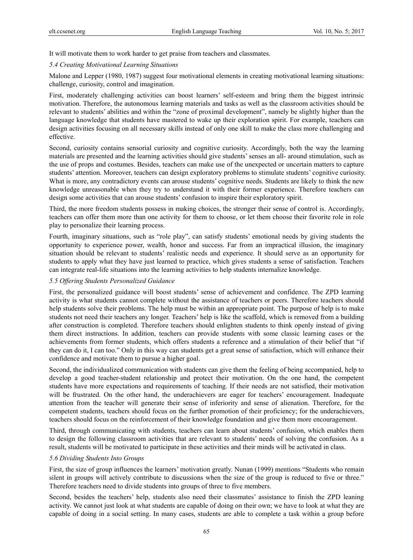It will motivate them to work harder to get praise from teachers and classmates.

#### *5.4 Creating Motivational Learning Situations*

Malone and Lepper (1980, 1987) suggest four motivational elements in creating motivational learning situations: challenge, curiosity, control and imagination.

First, moderately challenging activities can boost learners' self-esteem and bring them the biggest intrinsic motivation. Therefore, the autonomous learning materials and tasks as well as the classroom activities should be relevant to students' abilities and within the "zone of proximal development", namely be slightly higher than the language knowledge that students have mastered to wake up their exploration spirit. For example, teachers can design activities focusing on all necessary skills instead of only one skill to make the class more challenging and effective.

Second, curiosity contains sensorial curiosity and cognitive curiosity. Accordingly, both the way the learning materials are presented and the learning activities should give students' senses an all- around stimulation, such as the use of props and costumes. Besides, teachers can make use of the unexpected or uncertain matters to capture students' attention. Moreover, teachers can design exploratory problems to stimulate students' cognitive curiosity. What is more, any contradictory events can arouse students' cognitive needs. Students are likely to think the new knowledge unreasonable when they try to understand it with their former experience. Therefore teachers can design some activities that can arouse students' confusion to inspire their exploratory spirit.

Third, the more freedom students possess in making choices, the stronger their sense of control is. Accordingly, teachers can offer them more than one activity for them to choose, or let them choose their favorite role in role play to personalize their learning process.

Fourth, imaginary situations, such as "role play", can satisfy students' emotional needs by giving students the opportunity to experience power, wealth, honor and success. Far from an impractical illusion, the imaginary situation should be relevant to students' realistic needs and experience. It should serve as an opportunity for students to apply what they have just learned to practice, which gives students a sense of satisfaction. Teachers can integrate real-life situations into the learning activities to help students internalize knowledge.

## *5.5 Offering Students Personalized Guidance*

First, the personalized guidance will boost students' sense of achievement and confidence. The ZPD learning activity is what students cannot complete without the assistance of teachers or peers. Therefore teachers should help students solve their problems. The help must be within an appropriate point. The purpose of help is to make students not need their teachers any longer. Teachers' help is like the scaffold, which is removed from a building after construction is completed. Therefore teachers should enlighten students to think openly instead of giving them direct instructions. In addition, teachers can provide students with some classic learning cases or the achievements from former students, which offers students a reference and a stimulation of their belief that "if they can do it, I can too." Only in this way can students get a great sense of satisfaction, which will enhance their confidence and motivate them to pursue a higher goal.

Second, the individualized communication with students can give them the feeling of being accompanied, help to develop a good teacher-student relationship and protect their motivation. On the one hand, the competent students have more expectations and requirements of teaching. If their needs are not satisfied, their motivation will be frustrated. On the other hand, the underachievers are eager for teachers' encouragement. Inadequate attention from the teacher will generate their sense of inferiority and sense of alienation. Therefore, for the competent students, teachers should focus on the further promotion of their proficiency; for the underachievers, teachers should focus on the reinforcement of their knowledge foundation and give them more encouragement.

Third, through communicating with students, teachers can learn about students' confusion, which enables them to design the following classroom activities that are relevant to students' needs of solving the confusion. As a result, students will be motivated to participate in these activities and their minds will be activated in class.

#### *5.6 Dividing Students Into Groups*

First, the size of group influences the learners' motivation greatly. Nunan (1999) mentions "Students who remain silent in groups will actively contribute to discussions when the size of the group is reduced to five or three." Therefore teachers need to divide students into groups of three to five members.

Second, besides the teachers' help, students also need their classmates' assistance to finish the ZPD leaning activity. We cannot just look at what students are capable of doing on their own; we have to look at what they are capable of doing in a social setting. In many cases, students are able to complete a task within a group before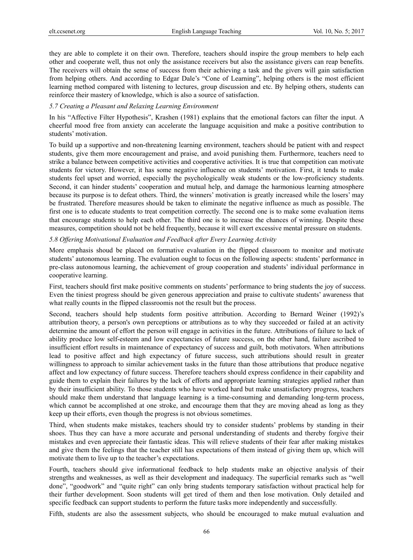they are able to complete it on their own. Therefore, teachers should inspire the group members to help each other and cooperate well, thus not only the assistance receivers but also the assistance givers can reap benefits. The receivers will obtain the sense of success from their achieving a task and the givers will gain satisfaction from helping others. And according to Edgar Dale's "Cone of Learning", helping others is the most efficient learning method compared with listening to lectures, group discussion and etc. By helping others, students can reinforce their mastery of knowledge, which is also a source of satisfaction.

## *5.7 Creating a Pleasant and Relaxing Learning Environment*

In his "Affective Filter Hypothesis", Krashen (1981) explains that the emotional factors can filter the input. A cheerful mood free from anxiety can accelerate the language acquisition and make a positive contribution to students' motivation.

To build up a supportive and non-threatening learning environment, teachers should be patient with and respect students, give them more encouragement and praise, and avoid punishing them. Furthermore, teachers need to strike a balance between competitive activities and cooperative activities. It is true that competition can motivate students for victory. However, it has some negative influence on students' motivation. First, it tends to make students feel upset and worried, especially the psychologically weak students or the low-proficiency students. Second, it can hinder students' cooperation and mutual help, and damage the harmonious learning atmosphere because its purpose is to defeat others. Third, the winners' motivation is greatly increased while the losers' may be frustrated. Therefore measures should be taken to eliminate the negative influence as much as possible. The first one is to educate students to treat competition correctly. The second one is to make some evaluation items that encourage students to help each other. The third one is to increase the chances of winning. Despite these measures, competition should not be held frequently, because it will exert excessive mental pressure on students.

## *5.8 Offering Motivational Evaluation and Feedback after Every Learning Activity*

More emphasis shoud be placed on formative evaluation in the flipped classroom to monitor and motivate students' autonomous learning. The evaluation ought to focus on the following aspects: students' performance in pre-class autonomous learning, the achievement of group cooperation and students' individual performance in cooperative learning.

First, teachers should first make positive comments on students' performance to bring students the joy of success. Even the tiniest progress should be given generous appreciation and praise to cultivate students' awareness that what really counts in the flipped classroomis not the result but the process.

Second, teachers should help students form positive attribution. According to Bernard Weiner (1992)'s attribution theory, a person's own perceptions or attributions as to why they succeeded or failed at an activity determine the amount of effort the person will engage in activities in the future. Attributions of failure to lack of ability produce low self-esteem and low expectancies of future success, on the other hand, failure ascribed to insufficient effort results in maintenance of expectancy of success and guilt, both motivators. When attributions lead to positive affect and high expectancy of future success, such attributions should result in greater willingness to approach to similar achievement tasks in the future than those attributions that produce negative affect and low expectancy of future success. Therefore teachers should express confidence in their capability and guide them to explain their failures by the lack of efforts and appropriate learning strategies applied rather than by their insufficient ability. To those students who have worked hard but make unsatisfactory progress, teachers should make them understand that language learning is a time-consuming and demanding long-term process, which cannot be accomplished at one stroke, and encourage them that they are moving ahead as long as they keep up their efforts, even though the progress is not obvious sometimes.

Third, when students make mistakes, teachers should try to consider students' problems by standing in their shoes. Thus they can have a more accurate and personal understanding of students and thereby forgive their mistakes and even appreciate their fantastic ideas. This will relieve students of their fear after making mistakes and give them the feelings that the teacher still has expectations of them instead of giving them up, which will motivate them to live up to the teacher's expectations.

Fourth, teachers should give informational feedback to help students make an objective analysis of their strengths and weaknesses, as well as their development and inadequacy. The superficial remarks such as "well done", "goodwork" and "quite right" can only bring students temporary satisfaction without practical help for their further development. Soon students will get tired of them and then lose motivation. Only detailed and specific feedback can support students to perform the future tasks more independently and successfully.

Fifth, students are also the assessment subjects, who should be encouraged to make mutual evaluation and